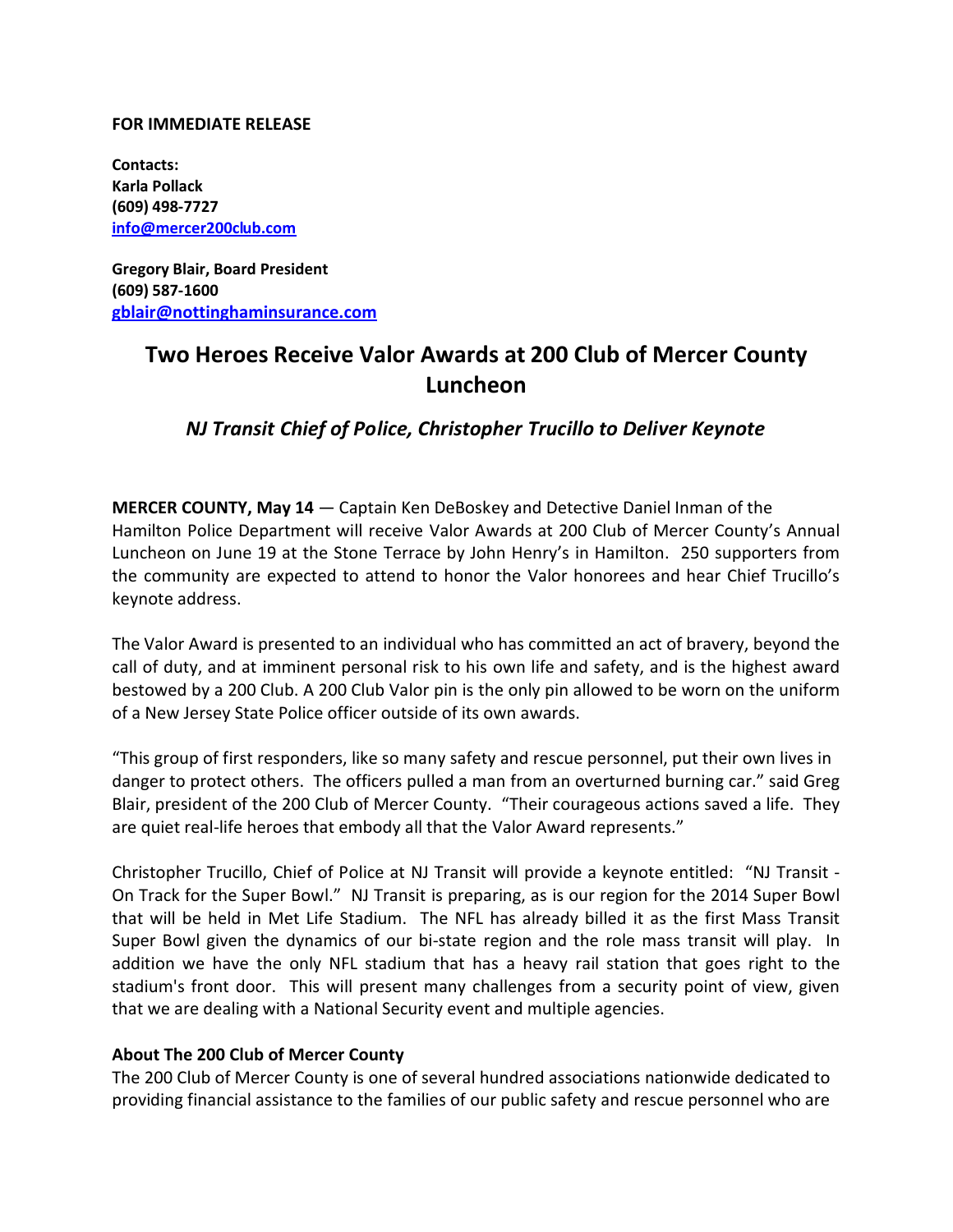## **FOR IMMEDIATE RELEASE**

**Contacts: Karla Pollack (609) 498-7727 info@mercer200club.com**

**Gregory Blair, Board President (609) 587-1600 gblair@nottinghaminsurance.com**

## **Two Heroes Receive Valor Awards at 200 Club of Mercer County Luncheon**

*NJ Transit Chief of Police, Christopher Trucillo to Deliver Keynote*

**MERCER COUNTY, May 14** — Captain Ken DeBoskey and Detective Daniel Inman of the Hamilton Police Department will receive Valor Awards at 200 Club of Mercer County's Annual Luncheon on June 19 at the Stone Terrace by John Henry's in Hamilton. 250 supporters from the community are expected to attend to honor the Valor honorees and hear Chief Trucillo's keynote address.

The Valor Award is presented to an individual who has committed an act of bravery, beyond the call of duty, and at imminent personal risk to his own life and safety, and is the highest award bestowed by a 200 Club. A 200 Club Valor pin is the only pin allowed to be worn on the uniform of a New Jersey State Police officer outside of its own awards.

"This group of first responders, like so many safety and rescue personnel, put their own lives in danger to protect others. The officers pulled a man from an overturned burning car." said Greg Blair, president of the 200 Club of Mercer County. "Their courageous actions saved a life. They are quiet real-life heroes that embody all that the Valor Award represents."

Christopher Trucillo, Chief of Police at NJ Transit will provide a keynote entitled: "NJ Transit - On Track for the Super Bowl." NJ Transit is preparing, as is our region for the 2014 Super Bowl that will be held in Met Life Stadium. The NFL has already billed it as the first Mass Transit Super Bowl given the dynamics of our bi-state region and the role mass transit will play. In addition we have the only NFL stadium that has a heavy rail station that goes right to the stadium's front door. This will present many challenges from a security point of view, given that we are dealing with a National Security event and multiple agencies.

## **About The 200 Club of Mercer County**

The 200 Club of Mercer County is one of several hundred associations nationwide dedicated to providing financial assistance to the families of our public safety and rescue personnel who are